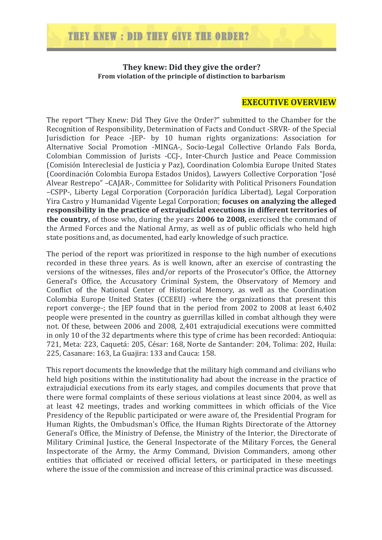#### **They knew: Did they give the order? From violation of the principle of distinction to barbarism**

#### **EXECUTIVE OVERVIEW**

The report "They Knew: Did They Give the Order?" submitted to the Chamber for the Recognition of Responsibility, Determination of Facts and Conduct -SRVR- of the Special Jurisdiction for Peace -JEP- by 10 human rights organizations: Association for Alternative Social Promotion -MINGA-, Socio-Legal Collective Orlando Fals Borda, Colombian Commission of Jurists -CCJ-, Inter-Church Justice and Peace Commission (Comisión Intereclesial de Justicia y Paz), Coordination Colombia Europe United States (Coordinación Colombia Europa Estados Unidos), Lawyers Collective Corporation "José Alvear Restrepo" -CAJAR-, Committee for Solidarity with Political Prisoners Foundation –CSPP-, Liberty Legal Corporation (Corporación Jurídica Libertad), Legal Corporation Yira Castro v Humanidad Vigente Legal Corporation: **focuses on analyzing the alleged** responsibility in the practice of extrajudicial executions in different territories of **the country,** of those who, during the years **2006 to 2008**, exercised the command of the Armed Forces and the National Army, as well as of public officials who held high state positions and, as documented, had early knowledge of such practice.

The period of the report was prioritized in response to the high number of executions recorded in these three years. As is well known, after an exercise of contrasting the versions of the witnesses, files and/or reports of the Prosecutor's Office, the Attorney General's Office, the Accusatory Criminal System, the Observatory of Memory and Conflict of the National Center of Historical Memory, as well as the Coordination Colombia Europe United States (CCEEU) -where the organizations that present this report converge-; the JEP found that in the period from  $2002$  to  $2008$  at least  $6,402$ people were presented in the country as guerrillas killed in combat although they were not. Of these, between 2006 and 2008, 2,401 extrajudicial executions were committed in only 10 of the 32 departments where this type of crime has been recorded: Antioquia: 721, Meta: 223, Caquetá: 205, César: 168, Norte de Santander: 204, Tolima: 202, Huila: 225, Casanare: 163, La Guajira: 133 and Cauca: 158.

This report documents the knowledge that the military high command and civilians who held high positions within the institutionality had about the increase in the practice of extrajudicial executions from its early stages, and compiles documents that prove that there were formal complaints of these serious violations at least since 2004, as well as at least 42 meetings, trades and working committees in which officials of the Vice Presidency of the Republic participated or were aware of, the Presidential Program for Human Rights, the Ombudsman's Office, the Human Rights Directorate of the Attorney General's Office, the Ministry of Defense, the Ministry of the Interior, the Directorate of Military Criminal Justice, the General Inspectorate of the Military Forces, the General Inspectorate of the Army, the Army Command, Division Commanders, among other entities that officiated or received official letters, or participated in these meetings where the issue of the commission and increase of this criminal practice was discussed.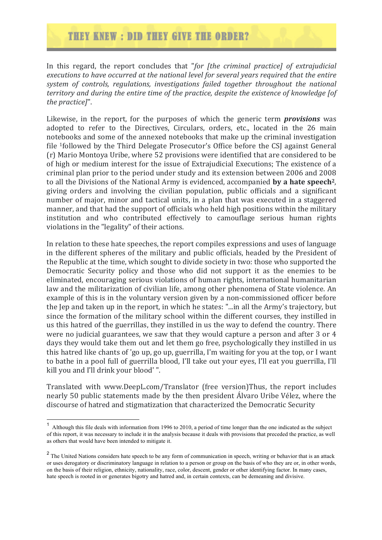## THEY KNEW : DID THEY GIVE THE ORDER?

In this regard, the report concludes that "*for [the criminal practice]* of extrajudicial executions to have occurred at the national level for several vears required that the entire *system of controls, regulations, investigations failed together throughout the national territory* and during the entire time of the practice, despite the existence of knowledge [of *the practice]*".

Likewise, in the report, for the purposes of which the generic term *provisions* was adopted to refer to the Directives, Circulars, orders, etc., located in the 26 main notebooks and some of the annexed notebooks that make up the criminal investigation file <sup>1</sup>followed by the Third Delegate Prosecutor's Office before the CSJ against General (r) Mario Montoya Uribe, where 52 provisions were identified that are considered to be of high or medium interest for the issue of Extrajudicial Executions; The existence of a criminal plan prior to the period under study and its extension between 2006 and 2008 to all the Divisions of the National Army is evidenced, accompanied **by a hate speech**<sup>2</sup>, giving orders and involving the civilian population, public officials and a significant number of major, minor and tactical units, in a plan that was executed in a staggered manner, and that had the support of officials who held high positions within the military institution and who contributed effectively to camouflage serious human rights violations in the "legality" of their actions.

In relation to these hate speeches, the report compiles expressions and uses of language in the different spheres of the military and public officials, headed by the President of the Republic at the time, which sought to divide society in two: those who supported the Democratic Security policy and those who did not support it as the enemies to be eliminated, encouraging serious violations of human rights, international humanitarian law and the militarization of civilian life, among other phenomena of State violence. An example of this is in the voluntary version given by a non-commissioned officer before the Jep and taken up in the report, in which he states: "...in all the Army's trajectory, but since the formation of the military school within the different courses, they instilled in us this hatred of the guerrillas, they instilled in us the way to defend the country. There were no judicial guarantees, we saw that they would capture a person and after 3 or 4 days they would take them out and let them go free, psychologically they instilled in us this hatred like chants of 'go up, go up, guerrilla, I'm waiting for you at the top, or I want to bathe in a pool full of guerrilla blood, I'll take out your eyes, I'll eat you guerrilla, I'll kill you and I'll drink your blood'".

Translated with www.DeepL.com/Translator (free version)Thus, the report includes nearly 50 public statements made by the then president Álvaro Uribe Vélez, where the discourse of hatred and stigmatization that characterized the Democratic Security

 <sup>1</sup> Although this file deals with information from 1996 to 2010, a period of time longer than the one indicated as the subject of this report, it was necessary to include it in the analysis because it deals with provisions that preceded the practice, as well as others that would have been intended to mitigate it.

<sup>&</sup>lt;sup>2</sup> The United Nations considers hate speech to be any form of communication in speech, writing or behavior that is an attack or uses derogatory or discriminatory language in relation to a person or group on the basis of who they are or, in other words, on the basis of their religion, ethnicity, nationality, race, color, descent, gender or other identifying factor. In many cases, hate speech is rooted in or generates bigotry and hatred and, in certain contexts, can be demeaning and divisive.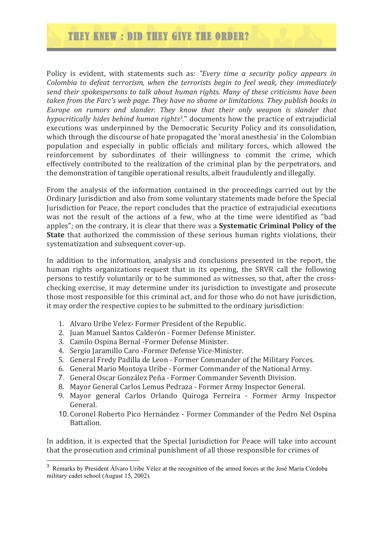# THEY KNEW: DID THEY GIVE THE ORDER?

Policy is evident, with statements such as: "Every time a security policy appears in *Colombia to defeat terrorism, when the terrorists begin to feel weak, they immediately* send their spokespersons to talk about human rights. Many of these criticisms have been *taken from the Farc's web page. They have no shame or limitations. They publish books in Europe* on rumors and slander. They know that their only weapon is slander that *hypocritically hides behind human rights<sup>3</sup>.*" documents how the practice of extrajudicial executions was underpinned by the Democratic Security Policy and its consolidation, which through the discourse of hate propagated the 'moral anesthesia' in the Colombian population and especially in public officials and military forces, which allowed the reinforcement by subordinates of their willingness to commit the crime, which effectively contributed to the realization of the criminal plan by the perpetrators, and the demonstration of tangible operational results, albeit fraudulently and illegally.

From the analysis of the information contained in the proceedings carried out by the Ordinary Jurisdiction and also from some voluntary statements made before the Special Jurisdiction for Peace, the report concludes that the practice of extrajudicial executions was not the result of the actions of a few, who at the time were identified as "bad apples"; on the contrary, it is clear that there was a **Systematic Criminal Policy of the State** that authorized the commission of these serious human rights violations, their systematization and subsequent cover-up.

In addition to the information, analysis and conclusions presented in the report, the human rights organizations request that in its opening, the SRVR call the following persons to testify voluntarily or to be summoned as witnesses, so that, after the crosschecking exercise, it may determine under its jurisdiction to investigate and prosecute those most responsible for this criminal act, and for those who do not have jurisdiction, it may order the respective copies to be submitted to the ordinary jurisdiction:

- 1. Alvaro Uribe Velez- Former President of the Republic.
- 2. Juan Manuel Santos Calderón Former Defense Minister.
- 3. Camilo Ospina Bernal -Former Defense Minister.
- 4. Sergio Jaramillo Caro Former Defense Vice-Minister.
- 5. General Fredy Padilla de Leon Former Commander of the Military Forces.
- 6. General Mario Montova Uribe Former Commander of the National Army.
- 7. General Oscar González Peña Former Commander Seventh Division.
- 8. Mayor General Carlos Lemus Pedraza Former Army Inspector General.
- 9. Mayor general Carlos Orlando Quiroga Ferreira Former Army Inspector General.
- 10. Coronel Roberto Pico Hernández Former Commander of the Pedro Nel Ospina Battalion.

In addition, it is expected that the Special Jurisdiction for Peace will take into account that the prosecution and criminal punishment of all those responsible for crimes of

<sup>&</sup>lt;sup>3</sup> Remarks by President Álvaro Uribe Vélez at the recognition of the armed forces at the José María Córdoba military cadet school (August 15, 2002).